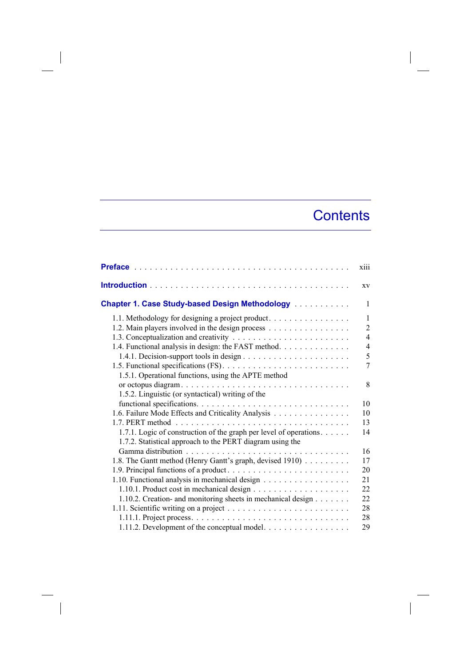## **Contents**

|                                                                    | xiii           |
|--------------------------------------------------------------------|----------------|
|                                                                    | XV             |
| Chapter 1. Case Study-based Design Methodology                     | 1              |
| 1.1. Methodology for designing a project product.                  | $\mathbf{1}$   |
| 1.2. Main players involved in the design process                   | $\overline{2}$ |
|                                                                    | $\overline{4}$ |
| 1.4. Functional analysis in design: the FAST method.               | $\overline{4}$ |
|                                                                    | 5              |
|                                                                    | 7              |
| 1.5.1. Operational functions, using the APTE method                |                |
|                                                                    | 8              |
| 1.5.2. Linguistic (or syntactical) writing of the                  |                |
|                                                                    | 10             |
| 1.6. Failure Mode Effects and Criticality Analysis                 | 10             |
|                                                                    | 13             |
| 1.7.1. Logic of construction of the graph per level of operations. | 14             |
| 1.7.2. Statistical approach to the PERT diagram using the          |                |
|                                                                    | 16             |
| 1.8. The Gantt method (Henry Gantt's graph, devised 1910)          | 17             |
|                                                                    | 20             |
| 1.10. Functional analysis in mechanical design                     | 21             |
|                                                                    | 22             |
| 1.10.2. Creation- and monitoring sheets in mechanical design       | 22             |
|                                                                    | 28             |
|                                                                    | 28             |
| 1.11.2. Development of the conceptual model.                       | 29             |

 $\overline{\phantom{a}}$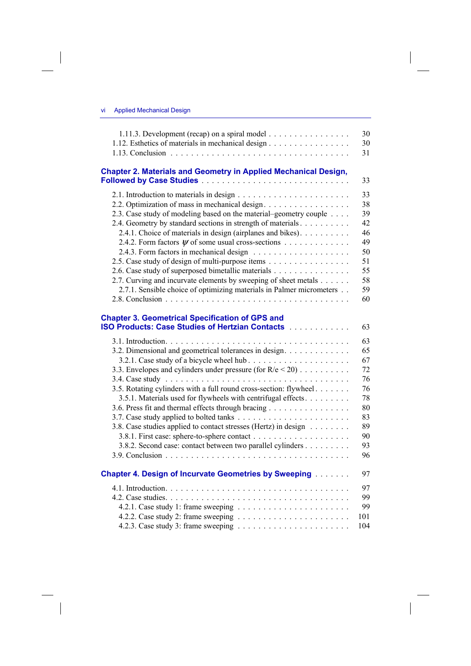| 1.11.3. Development (recap) on a spiral model                                                                     | 30  |
|-------------------------------------------------------------------------------------------------------------------|-----|
| 1.12. Esthetics of materials in mechanical design                                                                 | 30  |
|                                                                                                                   | 31  |
| <b>Chapter 2. Materials and Geometry in Applied Mechanical Design,</b>                                            | 33  |
|                                                                                                                   | 33  |
| 2.2. Optimization of mass in mechanical design.                                                                   | 38  |
| 2.3. Case study of modeling based on the material–geometry couple                                                 | 39  |
| 2.4. Geometry by standard sections in strength of materials                                                       | 42  |
| 2.4.1. Choice of materials in design (airplanes and bikes).                                                       | 46  |
| 2.4.2. Form factors $\psi$ of some usual cross-sections                                                           | 49  |
|                                                                                                                   | 50  |
| 2.5. Case study of design of multi-purpose items                                                                  | 51  |
| 2.6. Case study of superposed bimetallic materials                                                                | 55  |
| 2.7. Curving and incurvate elements by sweeping of sheet metals                                                   | 58  |
| 2.7.1. Sensible choice of optimizing materials in Palmer micrometers                                              | 59  |
|                                                                                                                   | 60  |
| <b>Chapter 3. Geometrical Specification of GPS and</b><br><b>ISO Products: Case Studies of Hertzian Contacts </b> | 63  |
|                                                                                                                   | 63  |
| 3.2. Dimensional and geometrical tolerances in design.                                                            | 65  |
| 3.2.1. Case study of a bicycle wheel hub                                                                          | 67  |
| 3.3. Envelopes and cylinders under pressure (for $R/e < 20$ )                                                     | 72  |
|                                                                                                                   | 76  |
| 3.5. Rotating cylinders with a full round cross-section: flywheel                                                 | 76  |
| 3.5.1. Materials used for flywheels with centrifugal effects.                                                     | 78  |
| 3.6. Press fit and thermal effects through bracing                                                                | 80  |
|                                                                                                                   | 83  |
| 3.8. Case studies applied to contact stresses (Hertz) in design                                                   | 89  |
|                                                                                                                   | 90  |
| 3.8.2. Second case: contact between two parallel cylinders                                                        | 93  |
|                                                                                                                   | 96  |
| <b>Chapter 4. Design of Incurvate Geometries by Sweeping</b>                                                      | 97  |
|                                                                                                                   | 97  |
|                                                                                                                   | 99  |
|                                                                                                                   | 99  |
|                                                                                                                   | 101 |
|                                                                                                                   | 104 |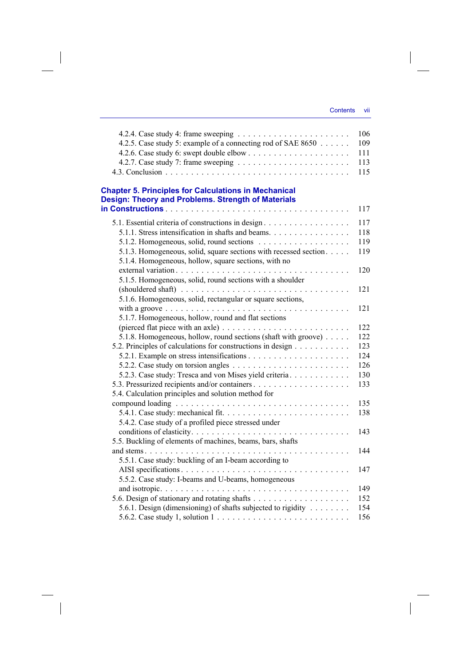|                                                                                        | 106 |
|----------------------------------------------------------------------------------------|-----|
| 4.2.5. Case study 5: example of a connecting rod of SAE 8650                           | 109 |
|                                                                                        | 111 |
| 4.2.7. Case study 7: frame sweeping $\ldots \ldots \ldots \ldots \ldots \ldots \ldots$ | 113 |
|                                                                                        | 115 |
| <b>Chapter 5. Principles for Calculations in Mechanical</b>                            |     |
| <b>Design: Theory and Problems. Strength of Materials</b>                              |     |
|                                                                                        | 117 |
|                                                                                        |     |
| 5.1. Essential criteria of constructions in design.                                    | 117 |
| 5.1.1. Stress intensification in shafts and beams.                                     | 118 |
|                                                                                        | 119 |
| 5.1.3. Homogeneous, solid, square sections with recessed section                       | 119 |
| 5.1.4. Homogeneous, hollow, square sections, with no                                   |     |
|                                                                                        | 120 |
| 5.1.5. Homogeneous, solid, round sections with a shoulder                              |     |
|                                                                                        | 121 |
| 5.1.6. Homogeneous, solid, rectangular or square sections,                             |     |
|                                                                                        | 121 |
| 5.1.7. Homogeneous, hollow, round and flat sections                                    |     |
|                                                                                        | 122 |
| 5.1.8. Homogeneous, hollow, round sections (shaft with groove)                         | 122 |
| 5.2. Principles of calculations for constructions in design                            | 123 |
|                                                                                        | 124 |
|                                                                                        | 126 |
| 5.2.3. Case study: Tresca and von Mises yield criteria.                                | 130 |
|                                                                                        | 133 |
| 5.4. Calculation principles and solution method for                                    |     |
|                                                                                        | 135 |
|                                                                                        | 138 |
| 5.4.2. Case study of a profiled piece stressed under                                   |     |
|                                                                                        | 143 |
| 5.5. Buckling of elements of machines, beams, bars, shafts                             |     |
|                                                                                        | 144 |
| 5.5.1. Case study: buckling of an I-beam according to                                  |     |
|                                                                                        | 147 |
| 5.5.2. Case study: I-beams and U-beams, homogeneous                                    |     |
|                                                                                        | 149 |
|                                                                                        | 152 |
| 5.6.1. Design (dimensioning) of shafts subjected to rigidity                           | 154 |
| 5.6.2. Case study 1, solution $1 \ldots \ldots \ldots \ldots \ldots \ldots \ldots$     | 156 |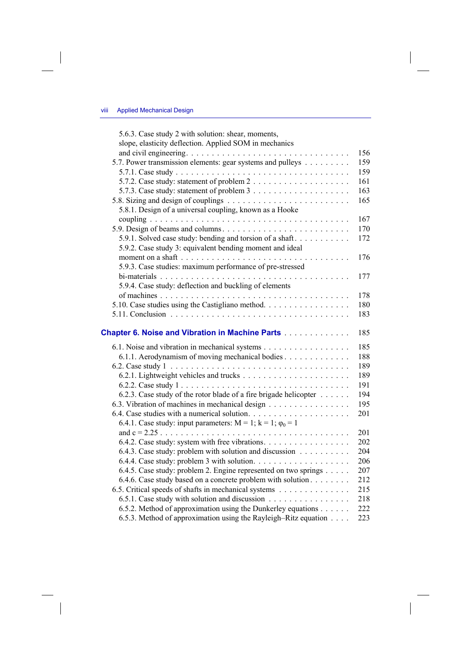$\overline{\phantom{a}}$ 

| 5.6.3. Case study 2 with solution: shear, moments,<br>slope, elasticity deflection. Applied SOM in mechanics                                          |            |
|-------------------------------------------------------------------------------------------------------------------------------------------------------|------------|
|                                                                                                                                                       | 156        |
| 5.7. Power transmission elements: gear systems and pulleys                                                                                            | 159        |
|                                                                                                                                                       | 159        |
|                                                                                                                                                       | 161        |
| 5.7.3. Case study: statement of problem $3 \ldots \ldots \ldots \ldots \ldots$                                                                        | 163        |
|                                                                                                                                                       | 165        |
| 5.8.1. Design of a universal coupling, known as a Hooke                                                                                               |            |
|                                                                                                                                                       | 167        |
|                                                                                                                                                       | 170        |
| 5.9.1. Solved case study: bending and torsion of a shaft                                                                                              | 172        |
| 5.9.2. Case study 3: equivalent bending moment and ideal                                                                                              |            |
|                                                                                                                                                       | 176        |
| 5.9.3. Case studies: maximum performance of pre-stressed                                                                                              |            |
|                                                                                                                                                       | 177        |
| 5.9.4. Case study: deflection and buckling of elements                                                                                                |            |
|                                                                                                                                                       | 178        |
| 5.10. Case studies using the Castigliano method.                                                                                                      | 180        |
|                                                                                                                                                       | 183        |
|                                                                                                                                                       |            |
| Chapter 6. Noise and Vibration in Machine Parts                                                                                                       | 185        |
| 6.1. Noise and vibration in mechanical systems                                                                                                        | 185        |
| 6.1.1. Aerodynamism of moving mechanical bodies                                                                                                       | 188        |
|                                                                                                                                                       | 189        |
|                                                                                                                                                       | 189        |
|                                                                                                                                                       | 191        |
| 6.2.3. Case study of the rotor blade of a fire brigade helicopter                                                                                     | 194        |
| 6.3. Vibration of machines in mechanical design                                                                                                       | 195        |
|                                                                                                                                                       | 201        |
| 6.4.1. Case study: input parameters: $M = 1$ ; $k = 1$ ; $\varphi_0 = 1$                                                                              |            |
| and $c = 2.25$                                                                                                                                        | 201        |
| 6.4.2. Case study: system with free vibrations.                                                                                                       | 202        |
| 6.4.3. Case study: problem with solution and discussion                                                                                               | 204        |
|                                                                                                                                                       | 206        |
| 6.4.5. Case study: problem 2. Engine represented on two springs                                                                                       |            |
|                                                                                                                                                       | 207        |
| 6.4.6. Case study based on a concrete problem with solution                                                                                           | 212        |
| 6.5. Critical speeds of shafts in mechanical systems                                                                                                  | 215        |
| 6.5.1. Case study with solution and discussion                                                                                                        | 218        |
| 6.5.2. Method of approximation using the Dunkerley equations $\dots \dots$<br>6.5.3. Method of approximation using the Rayleigh–Ritz equation $\dots$ | 222<br>223 |

 $\Big|$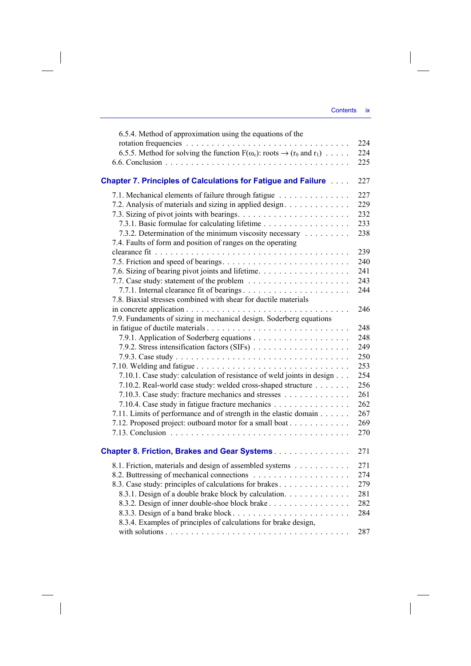| 6.5.4. Method of approximation using the equations of the                                               |     |
|---------------------------------------------------------------------------------------------------------|-----|
|                                                                                                         | 224 |
| 6.5.5. Method for solving the function $F(\omega_c)$ : roots $\rightarrow (r_0 \text{ and } r_1) \dots$ | 224 |
|                                                                                                         | 225 |
| <b>Chapter 7. Principles of Calculations for Fatigue and Failure </b>                                   | 227 |
| 7.1. Mechanical elements of failure through fatigue                                                     | 227 |
| 7.2. Analysis of materials and sizing in applied design.                                                | 229 |
|                                                                                                         | 232 |
| 7.3.1. Basic formulae for calculating lifetime                                                          | 233 |
| 7.3.2. Determination of the minimum viscosity necessary                                                 | 238 |
| 7.4. Faults of form and position of ranges on the operating                                             |     |
|                                                                                                         | 239 |
|                                                                                                         | 240 |
| 7.6. Sizing of bearing pivot joints and lifetime.                                                       | 241 |
|                                                                                                         | 243 |
| 7.7.1. Internal clearance fit of bearings                                                               | 244 |
| 7.8. Biaxial stresses combined with shear for ductile materials                                         |     |
|                                                                                                         | 246 |
| 7.9. Fundaments of sizing in mechanical design. Soderberg equations                                     |     |
|                                                                                                         | 248 |
|                                                                                                         | 248 |
| 7.9.2. Stress intensification factors (SIFs)                                                            | 249 |
|                                                                                                         | 250 |
|                                                                                                         | 253 |
| 7.10.1. Case study: calculation of resistance of weld joints in design                                  | 254 |
| 7.10.2. Real-world case study: welded cross-shaped structure                                            | 256 |
| 7.10.3. Case study: fracture mechanics and stresses                                                     | 261 |
| 7.10.4. Case study in fatigue fracture mechanics                                                        | 262 |
| 7.11. Limits of performance and of strength in the elastic domain                                       | 267 |
| 7.12. Proposed project: outboard motor for a small boat                                                 | 269 |
|                                                                                                         | 270 |
| <b>Chapter 8. Friction, Brakes and Gear Systems</b>                                                     | 271 |
| 8.1. Friction, materials and design of assembled systems                                                | 271 |
|                                                                                                         | 274 |
| 8.3. Case study: principles of calculations for brakes                                                  | 279 |
| 8.3.1. Design of a double brake block by calculation.                                                   | 281 |
| 8.3.2. Design of inner double-shoe block brake                                                          | 282 |
| 8.3.3. Design of a band brake block                                                                     | 284 |
| 8.3.4. Examples of principles of calculations for brake design,                                         |     |
|                                                                                                         | 287 |

 $\overline{\phantom{a}}$ 

 $\begin{array}{c} \hline \end{array}$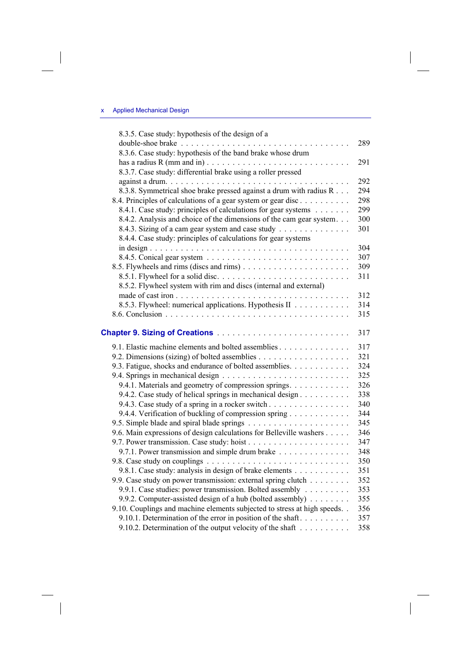## x Applied Mechanical Design

 $\overline{\phantom{a}}$ 

 $\overline{\phantom{a}}$ 

| 8.3.5. Case study: hypothesis of the design of a                                            |     |
|---------------------------------------------------------------------------------------------|-----|
|                                                                                             | 289 |
| 8.3.6. Case study: hypothesis of the band brake whose drum                                  |     |
| has a radius R (mm and in) $\ldots \ldots \ldots \ldots \ldots \ldots \ldots \ldots \ldots$ | 291 |
| 8.3.7. Case study: differential brake using a roller pressed                                |     |
|                                                                                             | 292 |
| 8.3.8. Symmetrical shoe brake pressed against a drum with radius R                          | 294 |
| 8.4. Principles of calculations of a gear system or gear disc                               | 298 |
| 8.4.1. Case study: principles of calculations for gear systems                              | 299 |
| 8.4.2. Analysis and choice of the dimensions of the cam gear system.                        | 300 |
| 8.4.3. Sizing of a cam gear system and case study                                           | 301 |
| 8.4.4. Case study: principles of calculations for gear systems                              |     |
|                                                                                             | 304 |
|                                                                                             | 307 |
|                                                                                             | 309 |
|                                                                                             | 311 |
| 8.5.2. Flywheel system with rim and discs (internal and external)                           |     |
|                                                                                             | 312 |
| 8.5.3. Flywheel: numerical applications. Hypothesis II                                      | 314 |
|                                                                                             | 315 |
|                                                                                             | 317 |
| 9.1. Elastic machine elements and bolted assemblies                                         | 317 |
|                                                                                             | 321 |
| 9.3. Fatigue, shocks and endurance of bolted assemblies.                                    | 324 |
|                                                                                             | 325 |
| 9.4.1. Materials and geometry of compression springs.                                       | 326 |
| 9.4.2. Case study of helical springs in mechanical design                                   | 338 |
| 9.4.3. Case study of a spring in a rocker switch                                            | 340 |
| 9.4.4. Verification of buckling of compression spring                                       | 344 |
|                                                                                             | 345 |
| 9.6. Main expressions of design calculations for Belleville washers                         | 346 |
|                                                                                             | 347 |
| 9.7.1. Power transmission and simple drum brake                                             | 348 |
|                                                                                             | 350 |
| 9.8.1. Case study: analysis in design of brake elements                                     | 351 |
| 9.9. Case study on power transmission: external spring clutch                               | 352 |
| 9.9.1. Case studies: power transmission. Bolted assembly                                    | 353 |
| 9.9.2. Computer-assisted design of a hub (bolted assembly)                                  | 355 |
| 9.10. Couplings and machine elements subjected to stress at high speeds                     | 356 |
| 9.10.1. Determination of the error in position of the shaft                                 | 357 |
| 9.10.2. Determination of the output velocity of the shaft                                   | 358 |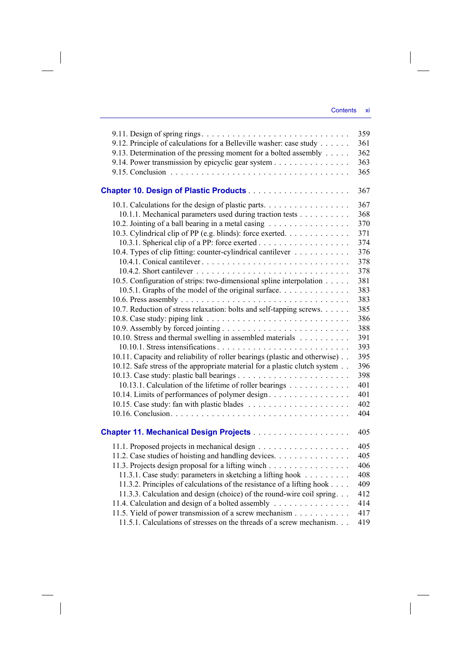|                                                                            | 359 |
|----------------------------------------------------------------------------|-----|
| 9.12. Principle of calculations for a Belleville washer: case study        | 361 |
| 9.13. Determination of the pressing moment for a bolted assembly           | 362 |
| 9.14. Power transmission by epicyclic gear system                          | 363 |
|                                                                            | 365 |
|                                                                            | 367 |
| 10.1. Calculations for the design of plastic parts.                        | 367 |
| 10.1.1. Mechanical parameters used during traction tests                   | 368 |
| 10.2. Jointing of a ball bearing in a metal casing                         | 370 |
| 10.3. Cylindrical clip of PP (e.g. blinds): force exerted.                 | 371 |
|                                                                            | 374 |
| 10.4. Types of clip fitting: counter-cylindrical cantilever                | 376 |
|                                                                            | 378 |
|                                                                            | 378 |
| 10.5. Configuration of strips: two-dimensional spline interpolation        | 381 |
| 10.5.1. Graphs of the model of the original surface.                       | 383 |
|                                                                            | 383 |
| 10.7. Reduction of stress relaxation: bolts and self-tapping screws.       | 385 |
|                                                                            | 386 |
|                                                                            | 388 |
| 10.10. Stress and thermal swelling in assembled materials                  | 391 |
|                                                                            | 393 |
| 10.11. Capacity and reliability of roller bearings (plastic and otherwise) | 395 |
| 10.12. Safe stress of the appropriate material for a plastic clutch system | 396 |
|                                                                            | 398 |
| 10.13.1. Calculation of the lifetime of roller bearings                    | 401 |
| 10.14. Limits of performances of polymer design.                           | 401 |
|                                                                            | 402 |
|                                                                            | 404 |
|                                                                            | 405 |
|                                                                            |     |
|                                                                            | 405 |
| 11.2. Case studies of hoisting and handling devices.                       | 405 |
| 11.3. Projects design proposal for a lifting winch                         | 406 |
| 11.3.1. Case study: parameters in sketching a lifting hook                 | 408 |
| 11.3.2. Principles of calculations of the resistance of a lifting hook     | 409 |
| 11.3.3. Calculation and design (choice) of the round-wire coil spring.     | 412 |
| 11.4. Calculation and design of a bolted assembly                          | 414 |
| 11.5. Yield of power transmission of a screw mechanism                     | 417 |
| 11.5.1. Calculations of stresses on the threads of a screw mechanism.      | 419 |

 $\overline{\phantom{a}}$ 

 $\mathcal{L}^{\mathcal{L}}$